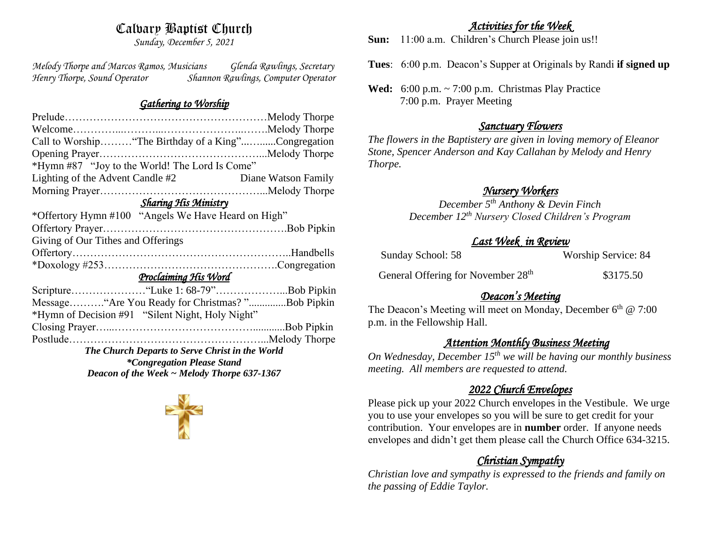## Calvary Baptist Church

*Sunday, December 5, 2021*

*Melody Thorpe and Marcos Ramos, Musicians Glenda Rawlings, Secretary Henry Thorpe, Sound Operator Shannon Rawlings, Computer Operator* 

#### *Gathering to Worship*

| Call to Worship "The Birthday of a King"Congregation |  |  |  |
|------------------------------------------------------|--|--|--|
|                                                      |  |  |  |
| *Hymn #87 "Joy to the World! The Lord Is Come"       |  |  |  |
| Diane Watson Family                                  |  |  |  |
|                                                      |  |  |  |
| Sharing His Ministry                                 |  |  |  |
| *Offertory Hymn #100 "Angels We Have Heard on High"  |  |  |  |
|                                                      |  |  |  |
|                                                      |  |  |  |
|                                                      |  |  |  |
|                                                      |  |  |  |
| Proclaiming His Word                                 |  |  |  |
| Scripture"Luke 1: 68-79"Bob Pipkin                   |  |  |  |
| Message "Are You Ready for Christmas?"Bob Pipkin     |  |  |  |
| *Hymn of Decision #91 "Silent Night, Holy Night"     |  |  |  |
|                                                      |  |  |  |
|                                                      |  |  |  |
| The Church Departs to Serve Christ in the World      |  |  |  |
| <i>*Congregation Please Stand</i>                    |  |  |  |
| Deacon of the Week $\sim$ Melody Thorpe 637-1367     |  |  |  |
|                                                      |  |  |  |

#### *Activities for the Week*

**Sun:** 11:00 a.m. Children's Church Please join us!!

**Tues**: 6:00 p.m. Deacon's Supper at Originals by Randi **if signed up**

**Wed:** 6:00 p.m. ~ 7:00 p.m. Christmas Play Practice 7:00 p.m. Prayer Meeting

#### *Sanctuary Flowers*

*The flowers in the Baptistery are given in loving memory of Eleanor Stone, Spencer Anderson and Kay Callahan by Melody and Henry Thorpe.*

# *Nursery Workers*

*December 5th Anthony & Devin Finch December 12th Nursery Closed Children's Program* 

## *Last Week in Review*

| Sunday School: 58 | Worship Service: 84 |
|-------------------|---------------------|
|                   |                     |

General Offering for November 28<sup>th</sup> \$3175.50

# *Deacon's Meeting*

The Deacon's Meeting will meet on Monday, December 6<sup>th</sup> @ 7:00 p.m. in the Fellowship Hall.

## *Attention Monthly Business Meeting*

*On Wednesday, December 15th we will be having our monthly business meeting. All members are requested to attend.* 

## *2022 Church Envelopes*

Please pick up your 2022 Church envelopes in the Vestibule. We urge you to use your envelopes so you will be sure to get credit for your contribution. Your envelopes are in **number** order.If anyone needs envelopes and didn't get them please call the Church Office 634-3215.

# *Christian Sympathy*

*Christian love and sympathy is expressed to the friends and family on the passing of Eddie Taylor.*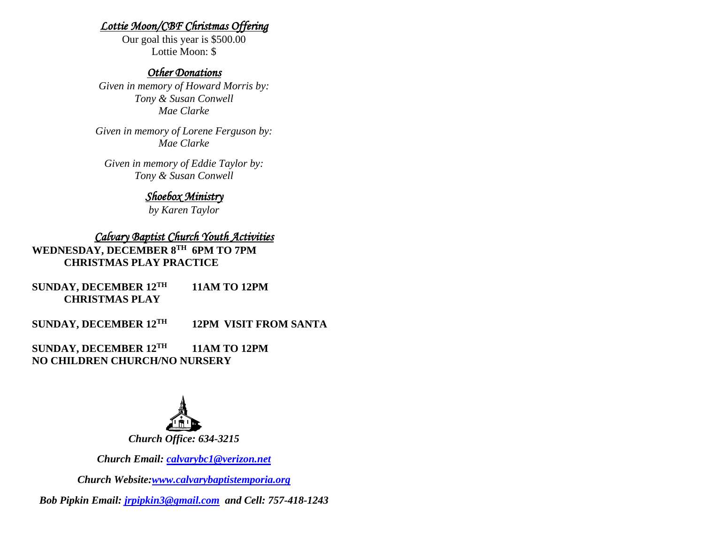#### *Lottie Moon/CBF Christmas Offering*

Our goal this year is \$500.00 Lottie Moon: \$

#### *Other Donations*

*Given in memory of Howard Morris by: Tony & Susan Conwell Mae Clarke*

*Given in memory of Lorene Ferguson by: Mae Clarke*

*Given in memory of Eddie Taylor by: Tony & Susan Conwell*

#### *Shoebox Ministry*

*by Karen Taylor*

## *Calvary Baptist Church Youth Activities*

**WEDNESDAY, DECEMBER 8TH 6PM TO 7PM CHRISTMAS PLAY PRACTICE**

**SUNDAY, DECEMBER 12TH 11AM TO 12PM CHRISTMAS PLAY** 

**SUNDAY, DECEMBER 12TH 12PM VISIT FROM SANTA** 

**SUNDAY, DECEMBER 12TH 11AM TO 12PM NO CHILDREN CHURCH/NO NURSERY**



*Church Email: [calvarybc1@verizon.net](mailto:cbcemporiaoffice@gmail.com)*

*Church Website[:www.calvarybaptistemporia.org](http://www.calvarybaptistemporia.org/)*

*Bob Pipkin Email: [jrpipkin3@gmail.com](mailto:jrpipkin3@gmail.com) and Cell: 757-418-1243*